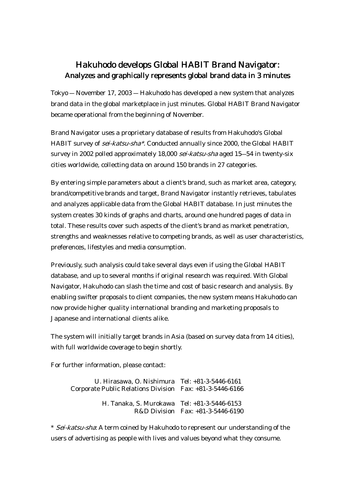## Hakuhodo develops Global HABIT Brand Navigator: Analyzes and graphically represents global brand data in 3 minutes

Tokyo ― November 17, 2003 ― Hakuhodo has developed a new system that analyzes brand data in the global marketplace in just minutes. Global HABIT Brand Navigator became operational from the beginning of November.

Brand Navigator uses a proprietary database of results from Hakuhodo's Global HABIT survey of *sei-katsu-sha\**. Conducted annually since 2000, the Global HABIT survey in 2002 polled approximately 18,000 sei-katsu-sha aged 15–54 in twenty-six cities worldwide, collecting data on around 150 brands in 27 categories.

By entering simple parameters about a client's brand, such as market area, category, brand/competitive brands and target, Brand Navigator instantly retrieves, tabulates and analyzes applicable data from the Global HABIT database. In just minutes the system creates 30 kinds of graphs and charts, around one hundred pages of data in total. These results cover such aspects of the client's brand as market penetration, strengths and weaknesses relative to competing brands, as well as user characteristics, preferences, lifestyles and media consumption.

Previously, such analysis could take several days even if using the Global HABIT database, and up to several months if original research was required. With Global Navigator, Hakuhodo can slash the time and cost of basic research and analysis. By enabling swifter proposals to client companies, the new system means Hakuhodo can now provide higher quality international branding and marketing proposals to Japanese and international clients alike.

The system will initially target brands in Asia (based on survey data from 14 cities), with full worldwide coverage to begin shortly.

For further information, please contact:

U. Hirasawa, O. Nishimura Tel: +81-3-5446-6161 Corporate Public Relations Division Fax: +81-3-5446-6166 H. Tanaka, S. Murokawa Tel: +81-3-5446-6153 R&D Division Fax: +81-3-5446-6190

\* Sei-katsu-sha: A term coined by Hakuhodo to represent our understanding of the users of advertising as people with lives and values beyond what they consume.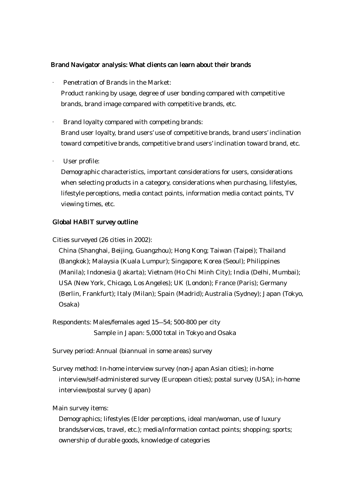## Brand Navigator analysis: What clients can learn about their brands

· Penetration of Brands in the Market: Product ranking by usage, degree of user bonding compared with competitive brands, brand image compared with competitive brands, etc.

· Brand loyalty compared with competing brands: Brand user loyalty, brand users' use of competitive brands, brand users' inclination toward competitive brands, competitive brand users' inclination toward brand, etc.

· User profile:

Demographic characteristics, important considerations for users, considerations when selecting products in a category, considerations when purchasing, lifestyles, lifestyle perceptions, media contact points, information media contact points, TV viewing times, etc.

## Global HABIT survey outline

Cities surveyed (26 cities in 2002):

China (Shanghai, Beijing, Guangzhou); Hong Kong; Taiwan (Taipei); Thailand (Bangkok); Malaysia (Kuala Lumpur); Singapore; Korea (Seoul); Philippines (Manila); Indonesia (Jakarta); Vietnam (Ho Chi Minh City); India (Delhi, Mumbai); USA (New York, Chicago, Los Angeles); UK (London); France (Paris); Germany (Berlin, Frankfurt); Italy (Milan); Spain (Madrid); Australia (Sydney); Japan (Tokyo, Osaka)

Respondents: Males/females aged 15―54; 500-800 per city Sample in Japan: 5,000 total in Tokyo and Osaka

Survey period: Annual (biannual in some areas) survey

Survey method: In-home interview survey (non-Japan Asian cities); in-home interview/self-administered survey (European cities); postal survey (USA); in-home interview/postal survey (Japan)

Main survey items:

Demographics; lifestyles (Elder perceptions, ideal man/woman, use of luxury brands/services, travel, etc.); media/information contact points; shopping; sports; ownership of durable goods, knowledge of categories